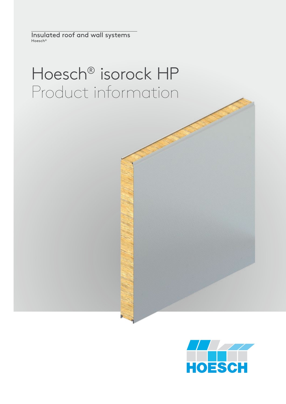Insulated roof and wall systems Hoesch®

# Hoesch® isorock HP Product information

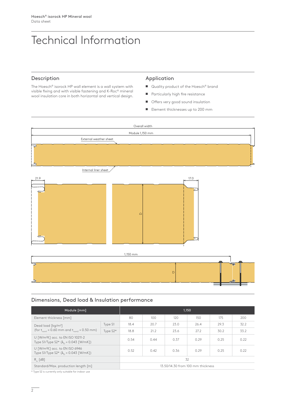# Technical Information

## Description

The Hoesch® isorock HP wall element is a wall system with visible fixing and with visible fastening and K-Roc® mineral wool insulation core in both horizontal and vertical design.

#### Application

- Quality product of the Hoesch<sup>®</sup> brand
- Particularly high fire resistance
- **Offers very good sound insulation**
- $\blacksquare$  Element thicknesses up to 200 mm



# Dimensions, Dead load & Insulation performance

| Module [mm]                                                                                           |            | 1.150                             |      |      |      |      |      |
|-------------------------------------------------------------------------------------------------------|------------|-----------------------------------|------|------|------|------|------|
| Element thickness [mm]                                                                                |            | 80                                | 100  | 120  | 150  | 175  | 200  |
| Dead load [kg/m <sup>2</sup> ]<br>(for $t_{\text{const}}$ = 0.60 mm and $t_{\text{const}}$ = 0.50 mm) | Type S1    | 18.4                              | 20.7 | 23.0 | 26.4 | 29.3 | 32.2 |
|                                                                                                       | Type $S2*$ | 18.8                              | 21.2 | 23.6 | 27.2 | 30.2 | 33.2 |
| U [W/m <sup>2</sup> K] acc. to EN ISO 10211-2<br>Type S1/Type S2* $(\lambda_n = 0.043$ [W/mK])        |            | 0.54                              | 0.44 | 0.37 | 0.29 | 0.25 | 0.22 |
| U [W/m <sup>2</sup> K] acc. to EN ISO 6946<br>Type S1/Type S2* $(\lambda_0 = 0.043$ [W/mK])           |            | 0.52                              | 0.42 | 0.36 | 0.29 | 0.25 | 0.22 |
| $R_{\ldots}$ [dB]                                                                                     |            | 32                                |      |      |      |      |      |
| Standard/Max. production length [m]                                                                   |            | 13.50/14.30 from 100 mm thickness |      |      |      |      |      |

\* Type S2 is currently only suitable for indoor use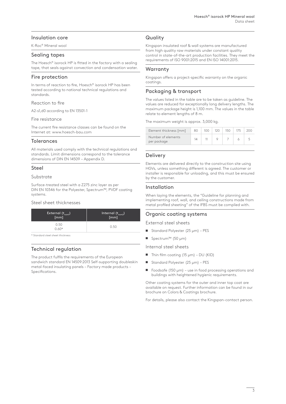# Insulation core

K-Roc® Mineral wool

## Sealing tapes

The Hoesch® isorock HP is fitted in the factory with a sealing tape, that seals against convection and condensation water.

#### Fire protection

In terms of reaction to fire, Hoesch® isorock HP has been tested according to national technical regulations and standards.

#### Reaction to fire

A2-s1,d0 according to EN 13501-1

#### Fire resistance

The current fire resistance classes can be found on the Internet at: www.hoesch-bau.com

#### Tolerances

All materials used comply with the technical regulations and standards. Limit dimensions correspond to the tolerance dimensions of DIN EN 14509 – Appendix D.

#### Steel

#### Substrate

Surface-treated steel with a Z275 zinc layer as per DIN EN 10346 for the Polyester, Spectrum™, PVDF coating systems.

#### Steel sheet thicknesses

| External (t <sub>noml</sub> )<br>[mm] | Internal $(t_{\text{nom2}})$ |
|---------------------------------------|------------------------------|
| 0.50<br>$0.60*$                       | 0.50                         |

\* Standard steel sheet thickness

# Technical regulation

The product fulfils the requirements of the European sandwich standard EN 14509:2013 Self-supporting doubleskin metal-faced insulating panels – Factory made products – Specifications.

# **Quality**

Kingspan insulated roof & wall systems are manufactured from high quality raw materials under constant quality control in state-of-the-art production facilities. They meet the requirements of ISO 9001:2015 and EN ISO 14001:2015.

# **Warranty**

Kingspan offers a project-specific warranty on the organic coatings.

# Packaging & transport

The values listed in the table are to be taken as guideline. The values are reduced for exceptionally long delivery lengths. The maximum package height is 1,100 mm. The values in the table relate to element lengths of 8 m.

The maximum weight is approx. 3,000 kg.

| Element thickness [mm]            | 80 | 10 $\cap$ | 120 | 150 | 200 |
|-----------------------------------|----|-----------|-----|-----|-----|
| Number of elements<br>per package | 14 |           |     |     |     |
|                                   |    |           |     |     |     |

# Delivery

Elements are delivered directly to the construction site using HGVs, unless something different is agreed. The customer or installer is responsible for unloading, and this must be ensured by the customer.

# Installation

When laying the elements, the "Guideline for planning and implementing roof, wall, and ceiling constructions made from metal profiled sheeting" of the IFBS must be complied with.

# Organic coating systems

External steel sheets

- Standard Polyester (25 μm) PES
- Spectrum™ (50 μm)

Internal steel sheets

- $\blacksquare$  Thin film coating (15 μm) DU (KID)
- Standard Polyester  $(25 \mu m)$  PES
- Foodsafe (150  $\mu$ m) use in food processing operations and buildings with heightened hygienic requirements.

Other coating systems for the outer and inner top coat are available on request. Further information can be found in our brochure on Colors & Coatings brochure.

For details, please also contact the Kingspan-contact person.